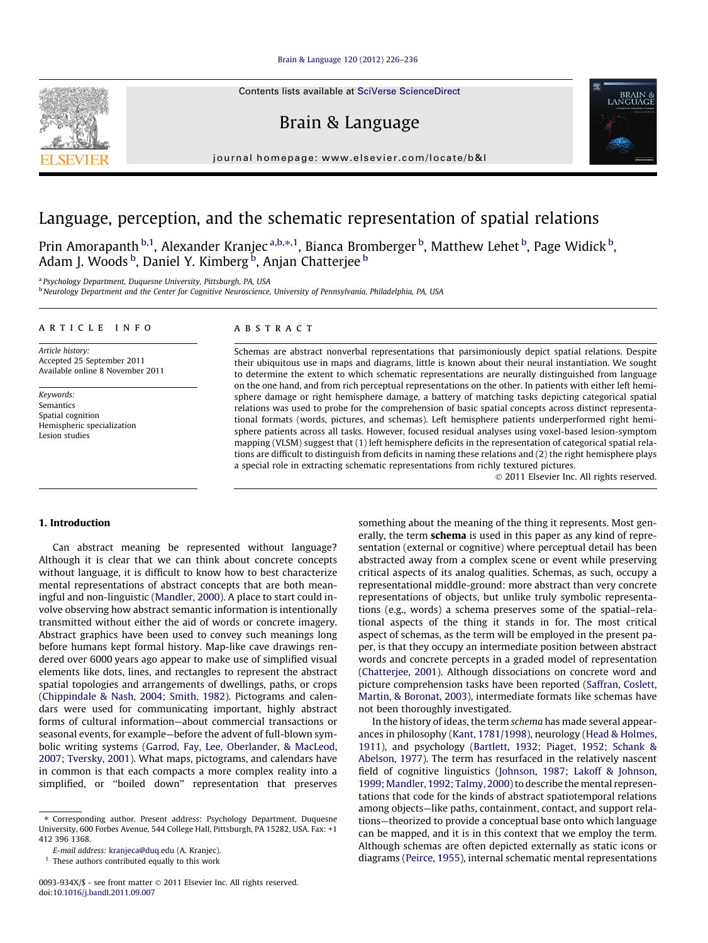# [Brain & Language 120 \(2012\) 226–236](http://dx.doi.org/10.1016/j.bandl.2011.09.007)

Contents lists available at [SciVerse ScienceDirect](http://www.sciencedirect.com/science/journal/0093934X)

Brain & Language



# Language, perception, and the schematic representation of spatial relations

Prin Amorapanth <sup>b,1</sup>, Alexander Kranjec <sup>a,b,</sup>\*,<sup>1</sup>, Bianca Bromberger <sup>b</sup>, Matthew Lehet <sup>b</sup>, Page Widick <sup>b</sup>, Adam J. Woods <sup>b</sup>, Daniel Y. Kimberg <sup>b</sup>, Anjan Chatterjee <sup>b</sup>

<sup>a</sup> Psychology Department, Duquesne University, Pittsburgh, PA, USA

**b Neurology Department and the Center for Cognitive Neuroscience, University of Pennsylvania, Philadelphia, PA, USA** 

## article info

Article history: Accepted 25 September 2011 Available online 8 November 2011

Keywords: Semantics Spatial cognition Hemispheric specialization Lesion studies

# **ABSTRACT**

Schemas are abstract nonverbal representations that parsimoniously depict spatial relations. Despite their ubiquitous use in maps and diagrams, little is known about their neural instantiation. We sought to determine the extent to which schematic representations are neurally distinguished from language on the one hand, and from rich perceptual representations on the other. In patients with either left hemisphere damage or right hemisphere damage, a battery of matching tasks depicting categorical spatial relations was used to probe for the comprehension of basic spatial concepts across distinct representational formats (words, pictures, and schemas). Left hemisphere patients underperformed right hemisphere patients across all tasks. However, focused residual analyses using voxel-based lesion-symptom mapping (VLSM) suggest that (1) left hemisphere deficits in the representation of categorical spatial relations are difficult to distinguish from deficits in naming these relations and (2) the right hemisphere plays a special role in extracting schematic representations from richly textured pictures.

- 2011 Elsevier Inc. All rights reserved.

# 1. Introduction

Can abstract meaning be represented without language? Although it is clear that we can think about concrete concepts without language, it is difficult to know how to best characterize mental representations of abstract concepts that are both meaningful and non-linguistic ([Mandler, 2000\)](#page-10-0). A place to start could involve observing how abstract semantic information is intentionally transmitted without either the aid of words or concrete imagery. Abstract graphics have been used to convey such meanings long before humans kept formal history. Map-like cave drawings rendered over 6000 years ago appear to make use of simplified visual elements like dots, lines, and rectangles to represent the abstract spatial topologies and arrangements of dwellings, paths, or crops ([Chippindale & Nash, 2004; Smith, 1982\)](#page-10-0). Pictograms and calendars were used for communicating important, highly abstract forms of cultural information—about commercial transactions or seasonal events, for example—before the advent of full-blown symbolic writing systems ([Garrod, Fay, Lee, Oberlander, & MacLeod,](#page-10-0) [2007; Tversky, 2001](#page-10-0)). What maps, pictograms, and calendars have in common is that each compacts a more complex reality into a simplified, or ''boiled down'' representation that preserves

<sup>1</sup> These authors contributed equally to this work

something about the meaning of the thing it represents. Most generally, the term schema is used in this paper as any kind of representation (external or cognitive) where perceptual detail has been abstracted away from a complex scene or event while preserving critical aspects of its analog qualities. Schemas, as such, occupy a representational middle-ground: more abstract than very concrete representations of objects, but unlike truly symbolic representations (e.g., words) a schema preserves some of the spatial–relational aspects of the thing it stands in for. The most critical aspect of schemas, as the term will be employed in the present paper, is that they occupy an intermediate position between abstract words and concrete percepts in a graded model of representation ([Chatterjee, 2001\)](#page-10-0). Although dissociations on concrete word and picture comprehension tasks have been reported ([Saffran, Coslett,](#page-10-0) [Martin, & Boronat, 2003](#page-10-0)), intermediate formats like schemas have not been thoroughly investigated.

In the history of ideas, the term schema has made several appearances in philosophy ([Kant, 1781/1998](#page-10-0)), neurology [\(Head & Holmes,](#page-10-0) [1911\)](#page-10-0), and psychology ([Bartlett, 1932; Piaget, 1952; Schank &](#page-10-0) [Abelson, 1977\)](#page-10-0). The term has resurfaced in the relatively nascent field of cognitive linguistics ([Johnson, 1987; Lakoff & Johnson,](#page-10-0) [1999; Mandler, 1992; Talmy, 2000\)](#page-10-0) to describe the mental representations that code for the kinds of abstract spatiotemporal relations among objects—like paths, containment, contact, and support relations—theorized to provide a conceptual base onto which language can be mapped, and it is in this context that we employ the term. Although schemas are often depicted externally as static icons or diagrams [\(Peirce, 1955](#page-10-0)), internal schematic mental representations





<sup>⇑</sup> Corresponding author. Present address: Psychology Department, Duquesne University, 600 Forbes Avenue, 544 College Hall, Pittsburgh, PA 15282, USA. Fax: +1 412 396 1368.

E-mail address: [kranjeca@duq.edu](mailto:kranjeca@duq.edu) (A. Kranjec).

<sup>0093-934</sup>X/\$ - see front matter © 2011 Elsevier Inc. All rights reserved. doi:[10.1016/j.bandl.2011.09.007](http://dx.doi.org/10.1016/j.bandl.2011.09.007)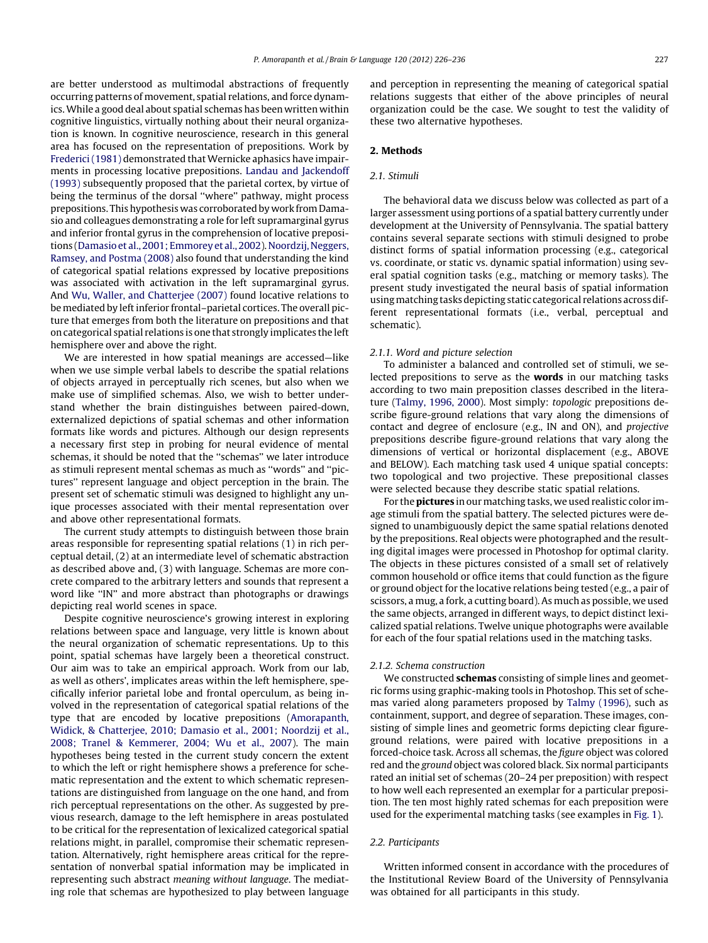are better understood as multimodal abstractions of frequently occurring patterns of movement, spatial relations, and force dynamics.While a good deal about spatial schemas has been written within cognitive linguistics, virtually nothing about their neural organization is known. In cognitive neuroscience, research in this general area has focused on the representation of prepositions. Work by [Frederici \(1981\)](#page-10-0) demonstrated that Wernicke aphasics have impairments in processing locative prepositions. [Landau and Jackendoff](#page-10-0) [\(1993\)](#page-10-0) subsequently proposed that the parietal cortex, by virtue of being the terminus of the dorsal ''where'' pathway, might process prepositions. This hypothesis was corroborated by work from Damasio and colleagues demonstrating a role for left supramarginal gyrus and inferior frontal gyrus in the comprehension of locative prepositions ([Damasio et al., 2001; Emmorey et al., 2002\)](#page-10-0). [Noordzij, Neggers,](#page-10-0) [Ramsey, and Postma \(2008\)](#page-10-0) also found that understanding the kind of categorical spatial relations expressed by locative prepositions was associated with activation in the left supramarginal gyrus. And [Wu, Waller, and Chatterjee \(2007\)](#page-10-0) found locative relations to be mediated by left inferior frontal–parietal cortices. The overall picture that emerges from both the literature on prepositions and that on categorical spatial relations is one that strongly implicates the left hemisphere over and above the right.

We are interested in how spatial meanings are accessed—like when we use simple verbal labels to describe the spatial relations of objects arrayed in perceptually rich scenes, but also when we make use of simplified schemas. Also, we wish to better understand whether the brain distinguishes between paired-down, externalized depictions of spatial schemas and other information formats like words and pictures. Although our design represents a necessary first step in probing for neural evidence of mental schemas, it should be noted that the ''schemas'' we later introduce as stimuli represent mental schemas as much as ''words'' and ''pictures'' represent language and object perception in the brain. The present set of schematic stimuli was designed to highlight any unique processes associated with their mental representation over and above other representational formats.

The current study attempts to distinguish between those brain areas responsible for representing spatial relations (1) in rich perceptual detail, (2) at an intermediate level of schematic abstraction as described above and, (3) with language. Schemas are more concrete compared to the arbitrary letters and sounds that represent a word like ''IN'' and more abstract than photographs or drawings depicting real world scenes in space.

Despite cognitive neuroscience's growing interest in exploring relations between space and language, very little is known about the neural organization of schematic representations. Up to this point, spatial schemas have largely been a theoretical construct. Our aim was to take an empirical approach. Work from our lab, as well as others', implicates areas within the left hemisphere, specifically inferior parietal lobe and frontal operculum, as being involved in the representation of categorical spatial relations of the type that are encoded by locative prepositions ([Amorapanth,](#page-10-0) [Widick, & Chatterjee, 2010; Damasio et al., 2001; Noordzij et al.,](#page-10-0) [2008; Tranel & Kemmerer, 2004; Wu et al., 2007\)](#page-10-0). The main hypotheses being tested in the current study concern the extent to which the left or right hemisphere shows a preference for schematic representation and the extent to which schematic representations are distinguished from language on the one hand, and from rich perceptual representations on the other. As suggested by previous research, damage to the left hemisphere in areas postulated to be critical for the representation of lexicalized categorical spatial relations might, in parallel, compromise their schematic representation. Alternatively, right hemisphere areas critical for the representation of nonverbal spatial information may be implicated in representing such abstract meaning without language. The mediating role that schemas are hypothesized to play between language and perception in representing the meaning of categorical spatial relations suggests that either of the above principles of neural organization could be the case. We sought to test the validity of these two alternative hypotheses.

## 2. Methods

## 2.1. Stimuli

The behavioral data we discuss below was collected as part of a larger assessment using portions of a spatial battery currently under development at the University of Pennsylvania. The spatial battery contains several separate sections with stimuli designed to probe distinct forms of spatial information processing (e.g., categorical vs. coordinate, or static vs. dynamic spatial information) using several spatial cognition tasks (e.g., matching or memory tasks). The present study investigated the neural basis of spatial information usingmatching tasks depicting static categorical relations across different representational formats (i.e., verbal, perceptual and schematic).

#### 2.1.1. Word and picture selection

To administer a balanced and controlled set of stimuli, we selected prepositions to serve as the **words** in our matching tasks according to two main preposition classes described in the literature [\(Talmy, 1996, 2000\)](#page-10-0). Most simply: topologic prepositions describe figure-ground relations that vary along the dimensions of contact and degree of enclosure (e.g., IN and ON), and projective prepositions describe figure-ground relations that vary along the dimensions of vertical or horizontal displacement (e.g., ABOVE and BELOW). Each matching task used 4 unique spatial concepts: two topological and two projective. These prepositional classes were selected because they describe static spatial relations.

For the pictures in our matching tasks, we used realistic color image stimuli from the spatial battery. The selected pictures were designed to unambiguously depict the same spatial relations denoted by the prepositions. Real objects were photographed and the resulting digital images were processed in Photoshop for optimal clarity. The objects in these pictures consisted of a small set of relatively common household or office items that could function as the figure or ground object for the locative relations being tested (e.g., a pair of scissors, a mug, a fork, a cutting board). As much as possible, we used the same objects, arranged in different ways, to depict distinct lexicalized spatial relations. Twelve unique photographs were available for each of the four spatial relations used in the matching tasks.

# 2.1.2. Schema construction

We constructed **schemas** consisting of simple lines and geometric forms using graphic-making tools in Photoshop. This set of schemas varied along parameters proposed by [Talmy \(1996\)](#page-10-0), such as containment, support, and degree of separation. These images, consisting of simple lines and geometric forms depicting clear figureground relations, were paired with locative prepositions in a forced-choice task. Across all schemas, the figure object was colored red and the ground object was colored black. Six normal participants rated an initial set of schemas (20–24 per preposition) with respect to how well each represented an exemplar for a particular preposition. The ten most highly rated schemas for each preposition were used for the experimental matching tasks (see examples in [Fig. 1](#page-2-0)).

# 2.2. Participants

Written informed consent in accordance with the procedures of the Institutional Review Board of the University of Pennsylvania was obtained for all participants in this study.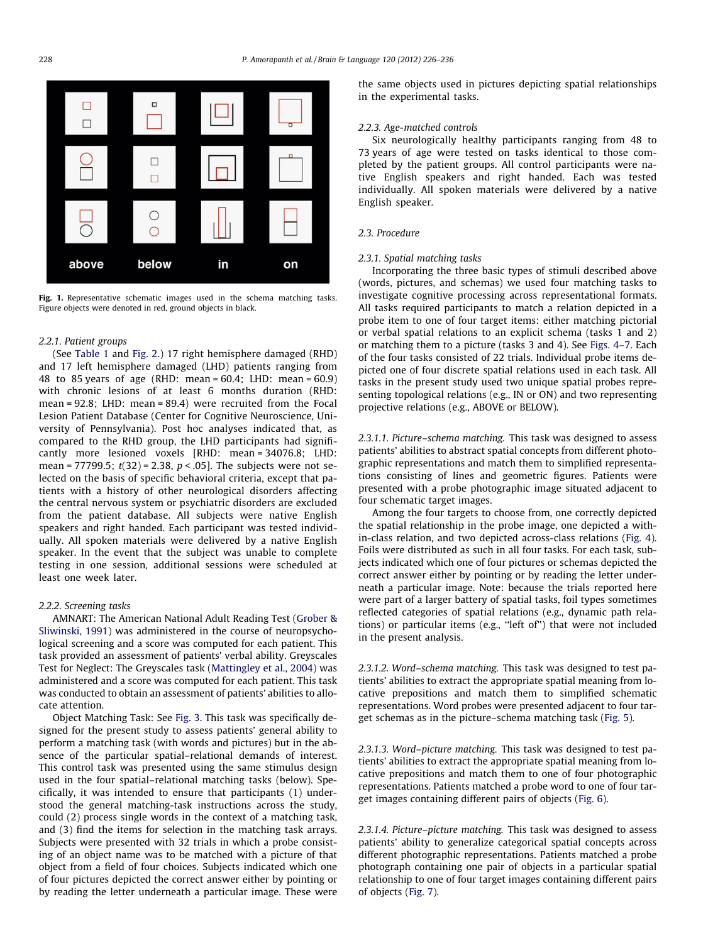<span id="page-2-0"></span>

Fig. 1. Representative schematic images used in the schema matching tasks. Figure objects were denoted in red, ground objects in black.

## 2.2.1. Patient groups

(See [Table 1](#page-3-0) and [Fig. 2.](#page-4-0)) 17 right hemisphere damaged (RHD) and 17 left hemisphere damaged (LHD) patients ranging from 48 to 85 years of age (RHD: mean = 60.4; LHD: mean = 60.9) with chronic lesions of at least 6 months duration (RHD: mean = 92.8; LHD: mean = 89.4) were recruited from the Focal Lesion Patient Database (Center for Cognitive Neuroscience, University of Pennsylvania). Post hoc analyses indicated that, as compared to the RHD group, the LHD participants had significantly more lesioned voxels [RHD: mean = 34076.8; LHD: mean = 77799.5;  $t(32)$  = 2.38,  $p < .05$ ]. The subjects were not selected on the basis of specific behavioral criteria, except that patients with a history of other neurological disorders affecting the central nervous system or psychiatric disorders are excluded from the patient database. All subjects were native English speakers and right handed. Each participant was tested individually. All spoken materials were delivered by a native English speaker. In the event that the subject was unable to complete testing in one session, additional sessions were scheduled at least one week later.

## 2.2.2. Screening tasks

AMNART: The American National Adult Reading Test ([Grober &](#page-10-0) [Sliwinski, 1991\)](#page-10-0) was administered in the course of neuropsychological screening and a score was computed for each patient. This task provided an assessment of patients' verbal ability. Greyscales Test for Neglect: The Greyscales task ([Mattingley et al., 2004](#page-10-0)) was administered and a score was computed for each patient. This task was conducted to obtain an assessment of patients' abilities to allocate attention.

Object Matching Task: See [Fig. 3](#page-4-0). This task was specifically designed for the present study to assess patients' general ability to perform a matching task (with words and pictures) but in the absence of the particular spatial–relational demands of interest. This control task was presented using the same stimulus design used in the four spatial–relational matching tasks (below). Specifically, it was intended to ensure that participants (1) understood the general matching-task instructions across the study, could (2) process single words in the context of a matching task, and (3) find the items for selection in the matching task arrays. Subjects were presented with 32 trials in which a probe consisting of an object name was to be matched with a picture of that object from a field of four choices. Subjects indicated which one of four pictures depicted the correct answer either by pointing or by reading the letter underneath a particular image. These were the same objects used in pictures depicting spatial relationships in the experimental tasks.

## 2.2.3. Age-matched controls

Six neurologically healthy participants ranging from 48 to 73 years of age were tested on tasks identical to those completed by the patient groups. All control participants were native English speakers and right handed. Each was tested individually. All spoken materials were delivered by a native English speaker.

# 2.3. Procedure

## 2.3.1. Spatial matching tasks

Incorporating the three basic types of stimuli described above (words, pictures, and schemas) we used four matching tasks to investigate cognitive processing across representational formats. All tasks required participants to match a relation depicted in a probe item to one of four target items: either matching pictorial or verbal spatial relations to an explicit schema (tasks 1 and 2) or matching them to a picture (tasks 3 and 4). See [Figs. 4–7](#page-5-0). Each of the four tasks consisted of 22 trials. Individual probe items depicted one of four discrete spatial relations used in each task. All tasks in the present study used two unique spatial probes representing topological relations (e.g., IN or ON) and two representing projective relations (e.g., ABOVE or BELOW).

2.3.1.1. Picture–schema matching. This task was designed to assess patients' abilities to abstract spatial concepts from different photographic representations and match them to simplified representations consisting of lines and geometric figures. Patients were presented with a probe photographic image situated adjacent to four schematic target images.

Among the four targets to choose from, one correctly depicted the spatial relationship in the probe image, one depicted a within-class relation, and two depicted across-class relations ([Fig. 4\)](#page-5-0). Foils were distributed as such in all four tasks. For each task, subjects indicated which one of four pictures or schemas depicted the correct answer either by pointing or by reading the letter underneath a particular image. Note: because the trials reported here were part of a larger battery of spatial tasks, foil types sometimes reflected categories of spatial relations (e.g., dynamic path relations) or particular items (e.g., ''left of'') that were not included in the present analysis.

2.3.1.2. Word–schema matching. This task was designed to test patients' abilities to extract the appropriate spatial meaning from locative prepositions and match them to simplified schematic representations. Word probes were presented adjacent to four target schemas as in the picture–schema matching task ([Fig. 5](#page-5-0)).

2.3.1.3. Word–picture matching. This task was designed to test patients' abilities to extract the appropriate spatial meaning from locative prepositions and match them to one of four photographic representations. Patients matched a probe word to one of four target images containing different pairs of objects ([Fig. 6](#page-6-0)).

2.3.1.4. Picture–picture matching. This task was designed to assess patients' ability to generalize categorical spatial concepts across different photographic representations. Patients matched a probe photograph containing one pair of objects in a particular spatial relationship to one of four target images containing different pairs of objects [\(Fig. 7\)](#page-6-0).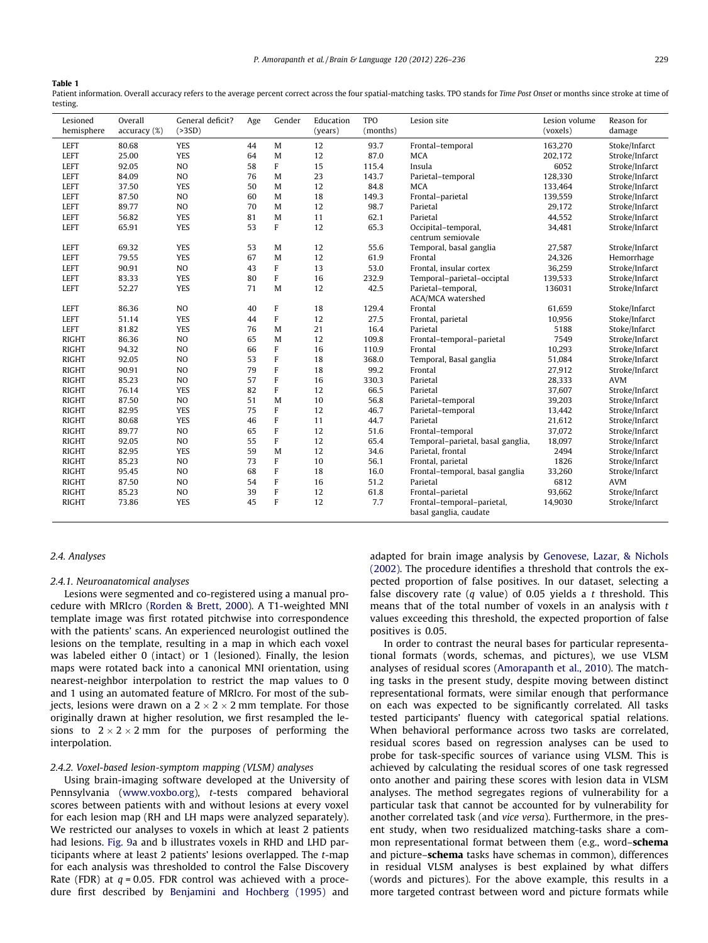<span id="page-3-0"></span>Table 1

Patient information. Overall accuracy refers to the average percent correct across the four spatial-matching tasks. TPO stands for Time Post Onset or months since stroke at time of testing.

| Lesioned<br>hemisphere | Overall<br>accuracy (%) | General deficit?<br>( >3SD) | Age | Gender | Education<br>(years) | <b>TPO</b><br>(months) | Lesion site                             | Lesion volume<br>(voxels) | Reason for<br>damage |
|------------------------|-------------------------|-----------------------------|-----|--------|----------------------|------------------------|-----------------------------------------|---------------------------|----------------------|
| <b>LEFT</b>            | 80.68                   | <b>YES</b>                  | 44  | M      | 12                   | 93.7                   | Frontal-temporal                        | 163,270                   | Stoke/Infarct        |
| <b>LEFT</b>            | 25.00                   | <b>YES</b>                  | 64  | M      | 12                   | 87.0                   | <b>MCA</b>                              | 202,172                   | Stroke/Infarct       |
| <b>LEFT</b>            | 92.05                   | NO.                         | 58  | F      | 15                   | 115.4                  | Insula                                  | 6052                      | Stroke/Infarct       |
| <b>LEFT</b>            | 84.09                   | N <sub>O</sub>              | 76  | M      | 23                   | 143.7                  | Parietal-temporal                       | 128,330                   | Stroke/Infarct       |
| <b>LEFT</b>            | 37.50                   | <b>YES</b>                  | 50  | M      | 12                   | 84.8                   | <b>MCA</b>                              | 133,464                   | Stroke/Infarct       |
| <b>LEFT</b>            | 87.50                   | N <sub>O</sub>              | 60  | M      | 18                   | 149.3                  | Frontal-parietal                        | 139,559                   | Stroke/Infarct       |
| <b>LEFT</b>            | 89.77                   | N <sub>O</sub>              | 70  | M      | 12                   | 98.7                   | Parietal                                | 29,172                    | Stroke/Infarct       |
| <b>LEFT</b>            | 56.82                   | <b>YES</b>                  | 81  | M      | 11                   | 62.1                   | Parietal                                | 44,552                    | Stroke/Infarct       |
| <b>LEFT</b>            | 65.91                   | <b>YES</b>                  | 53  | F      | 12                   | 65.3                   | Occipital-temporal,                     | 34,481                    | Stroke/Infarct       |
|                        |                         |                             |     |        |                      |                        | centrum semiovale                       |                           |                      |
| <b>LEFT</b>            | 69.32                   | <b>YES</b>                  | 53  | M      | 12                   | 55.6                   | Temporal, basal ganglia                 | 27,587                    | Stroke/Infarct       |
| <b>LEFT</b>            | 79.55                   | <b>YES</b>                  | 67  | M      | 12                   | 61.9                   | Frontal                                 | 24,326                    | Hemorrhage           |
| <b>LEFT</b>            | 90.91                   | N <sub>O</sub>              | 43  | F      | 13                   | 53.0                   | Frontal, insular cortex                 | 36,259                    | Stroke/Infarct       |
| <b>LEFT</b>            | 83.33                   | <b>YES</b>                  | 80  | F      | 16                   | 232.9                  | Temporal-parietal-occiptal              | 139,533                   | Stroke/Infarct       |
| <b>LEFT</b>            | 52.27                   | <b>YES</b>                  | 71  | M      | 12                   | 42.5                   | Parietal-temporal,<br>ACA/MCA watershed | 136031                    | Stroke/Infarct       |
| <b>LEFT</b>            | 86.36                   | N <sub>O</sub>              | 40  | F      | 18                   | 129.4                  | Frontal                                 | 61,659                    | Stoke/Infarct        |
| <b>LEFT</b>            | 51.14                   | <b>YES</b>                  | 44  | F      | 12                   | 27.5                   | Frontal, parietal                       | 10,956                    | Stoke/Infarct        |
| <b>LEFT</b>            | 81.82                   | <b>YES</b>                  | 76  | M      | 21                   | 16.4                   | Parietal                                | 5188                      | Stoke/Infarct        |
| <b>RIGHT</b>           | 86.36                   | N <sub>O</sub>              | 65  | M      | 12                   | 109.8                  | Frontal-temporal-parietal               | 7549                      | Stroke/Infarct       |
| <b>RIGHT</b>           | 94.32                   | N <sub>O</sub>              | 66  | F      | 16                   | 110.9                  | Frontal                                 | 10,293                    | Stroke/Infarct       |
| <b>RIGHT</b>           | 92.05                   | N <sub>O</sub>              | 53  | F      | 18                   | 368.0                  | Temporal, Basal ganglia                 | 51,084                    | Stroke/Infarct       |
| <b>RIGHT</b>           | 90.91                   | N <sub>O</sub>              | 79  | F      | 18                   | 99.2                   | Frontal                                 | 27,912                    | Stroke/Infarct       |
| <b>RIGHT</b>           | 85.23                   | N <sub>O</sub>              | 57  | F      | 16                   | 330.3                  | Parietal                                | 28,333                    | <b>AVM</b>           |
| <b>RIGHT</b>           | 76.14                   | <b>YES</b>                  | 82  | F      | 12                   | 66.5                   | Parietal                                | 37,607                    | Stroke/Infarct       |
| <b>RIGHT</b>           | 87.50                   | N <sub>O</sub>              | 51  | M      | 10                   | 56.8                   | Parietal-temporal                       | 39,203                    | Stroke/Infarct       |
| <b>RIGHT</b>           | 82.95                   | <b>YES</b>                  | 75  | F      | 12                   | 46.7                   | Parietal-temporal                       | 13,442                    | Stroke/Infarct       |
| <b>RIGHT</b>           | 80.68                   | <b>YES</b>                  | 46  | F      | 11                   | 44.7                   | Parietal                                | 21,612                    | Stroke/Infarct       |
| <b>RIGHT</b>           | 89.77                   | N <sub>O</sub>              | 65  | F      | 12                   | 51.6                   | Frontal-temporal                        | 37,072                    | Stroke/Infarct       |
| <b>RIGHT</b>           | 92.05                   | N <sub>O</sub>              | 55  | F      | 12                   | 65.4                   | Temporal-parietal, basal ganglia,       | 18,097                    | Stroke/Infarct       |
| <b>RIGHT</b>           | 82.95                   | <b>YES</b>                  | 59  | M      | 12                   | 34.6                   | Parietal, frontal                       | 2494                      | Stroke/Infarct       |
| <b>RIGHT</b>           | 85.23                   | N <sub>O</sub>              | 73  | F      | 10                   | 56.1                   | Frontal, parietal                       | 1826                      | Stroke/Infarct       |
| <b>RIGHT</b>           | 95.45                   | NO.                         | 68  | F      | 18                   | 16.0                   | Frontal-temporal, basal ganglia         | 33,260                    | Stroke/Infarct       |
| <b>RIGHT</b>           | 87.50                   | NO.                         | 54  | F      | 16                   | 51.2                   | Parietal                                | 6812                      | <b>AVM</b>           |
| <b>RIGHT</b>           | 85.23                   | N <sub>O</sub>              | 39  | F      | 12                   | 61.8                   | Frontal-parietal                        | 93,662                    | Stroke/Infarct       |
| <b>RIGHT</b>           | 73.86                   | <b>YES</b>                  | 45  | F      | 12                   | 7.7                    | Frontal-temporal-parietal,              | 14,9030                   | Stroke/Infarct       |
|                        |                         |                             |     |        |                      |                        | basal ganglia, caudate                  |                           |                      |

## 2.4. Analyses

#### 2.4.1. Neuroanatomical analyses

Lesions were segmented and co-registered using a manual procedure with MRIcro [\(Rorden & Brett, 2000\)](#page-10-0). A T1-weighted MNI template image was first rotated pitchwise into correspondence with the patients' scans. An experienced neurologist outlined the lesions on the template, resulting in a map in which each voxel was labeled either 0 (intact) or 1 (lesioned). Finally, the lesion maps were rotated back into a canonical MNI orientation, using nearest-neighbor interpolation to restrict the map values to 0 and 1 using an automated feature of MRIcro. For most of the subjects, lesions were drawn on a 2  $\times$  2  $\times$  2 mm template. For those originally drawn at higher resolution, we first resampled the lesions to  $2 \times 2 \times 2$  mm for the purposes of performing the interpolation.

# 2.4.2. Voxel-based lesion-symptom mapping (VLSM) analyses

Using brain-imaging software developed at the University of Pennsylvania [\(www.voxbo.org](http://www.voxbo.org)), t-tests compared behavioral scores between patients with and without lesions at every voxel for each lesion map (RH and LH maps were analyzed separately). We restricted our analyses to voxels in which at least 2 patients had lesions. [Fig. 9](#page-8-0)a and b illustrates voxels in RHD and LHD participants where at least 2 patients' lesions overlapped. The t-map for each analysis was thresholded to control the False Discovery Rate (FDR) at  $q = 0.05$ . FDR control was achieved with a procedure first described by [Benjamini and Hochberg \(1995\)](#page-10-0) and

adapted for brain image analysis by [Genovese, Lazar, & Nichols](#page-10-0) [\(2002\)](#page-10-0). The procedure identifies a threshold that controls the expected proportion of false positives. In our dataset, selecting a false discovery rate (q value) of 0.05 yields a t threshold. This means that of the total number of voxels in an analysis with  $t$ values exceeding this threshold, the expected proportion of false positives is 0.05.

In order to contrast the neural bases for particular representational formats (words, schemas, and pictures), we use VLSM analyses of residual scores ([Amorapanth et al., 2010](#page-10-0)). The matching tasks in the present study, despite moving between distinct representational formats, were similar enough that performance on each was expected to be significantly correlated. All tasks tested participants' fluency with categorical spatial relations. When behavioral performance across two tasks are correlated, residual scores based on regression analyses can be used to probe for task-specific sources of variance using VLSM. This is achieved by calculating the residual scores of one task regressed onto another and pairing these scores with lesion data in VLSM analyses. The method segregates regions of vulnerability for a particular task that cannot be accounted for by vulnerability for another correlated task (and vice versa). Furthermore, in the present study, when two residualized matching-tasks share a common representational format between them (e.g., word–schema and picture–schema tasks have schemas in common), differences in residual VLSM analyses is best explained by what differs (words and pictures). For the above example, this results in a more targeted contrast between word and picture formats while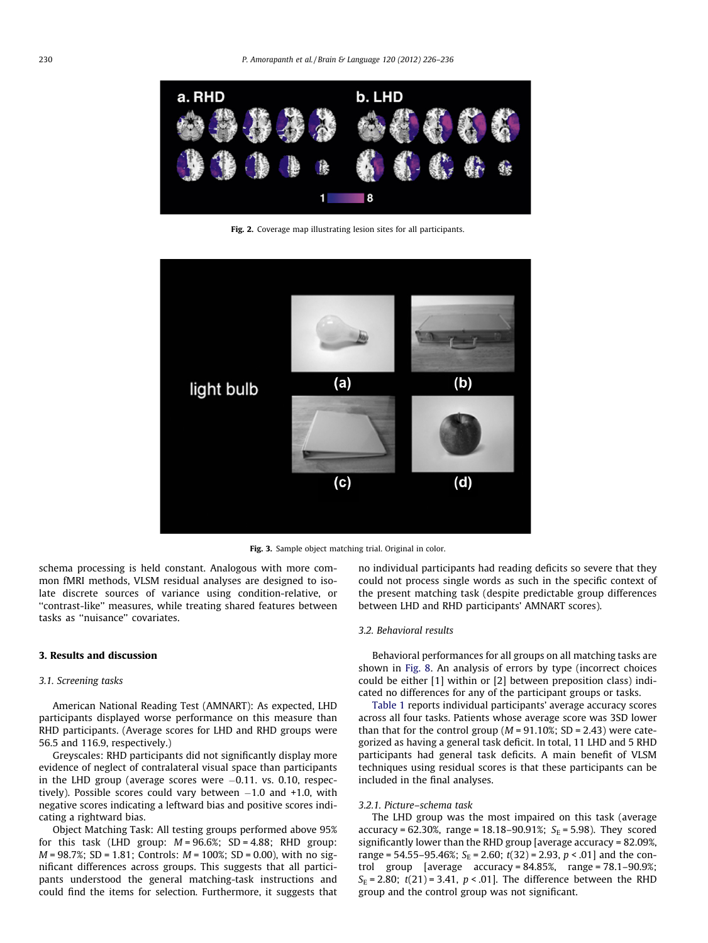<span id="page-4-0"></span>

Fig. 2. Coverage map illustrating lesion sites for all participants.



Fig. 3. Sample object matching trial. Original in color.

schema processing is held constant. Analogous with more common fMRI methods, VLSM residual analyses are designed to isolate discrete sources of variance using condition-relative, or ''contrast-like'' measures, while treating shared features between tasks as ''nuisance'' covariates.

# 3. Results and discussion

## 3.1. Screening tasks

American National Reading Test (AMNART): As expected, LHD participants displayed worse performance on this measure than RHD participants. (Average scores for LHD and RHD groups were 56.5 and 116.9, respectively.)

Greyscales: RHD participants did not significantly display more evidence of neglect of contralateral visual space than participants in the LHD group (average scores were  $-0.11$ . vs. 0.10, respectively). Possible scores could vary between  $-1.0$  and  $+1.0$ , with negative scores indicating a leftward bias and positive scores indicating a rightward bias.

Object Matching Task: All testing groups performed above 95% for this task (LHD group:  $M = 96.6\%$ ; SD = 4.88; RHD group:  $M = 98.7\%$ ; SD = 1.81; Controls:  $M = 100\%$ ; SD = 0.00), with no significant differences across groups. This suggests that all participants understood the general matching-task instructions and could find the items for selection. Furthermore, it suggests that no individual participants had reading deficits so severe that they could not process single words as such in the specific context of the present matching task (despite predictable group differences between LHD and RHD participants' AMNART scores).

#### 3.2. Behavioral results

Behavioral performances for all groups on all matching tasks are shown in [Fig. 8](#page-7-0). An analysis of errors by type (incorrect choices could be either [1] within or [2] between preposition class) indicated no differences for any of the participant groups or tasks.

[Table 1](#page-3-0) reports individual participants' average accuracy scores across all four tasks. Patients whose average score was 3SD lower than that for the control group ( $M = 91.10\%$ ; SD = 2.43) were categorized as having a general task deficit. In total, 11 LHD and 5 RHD participants had general task deficits. A main benefit of VLSM techniques using residual scores is that these participants can be included in the final analyses.

#### 3.2.1. Picture–schema task

The LHD group was the most impaired on this task (average accuracy = 62.30%, range = 18.18-90.91%;  $S_E$  = 5.98). They scored significantly lower than the RHD group [average accuracy = 82.09%, range = 54.55–95.46%;  $S_E$  = 2.60;  $t(32)$  = 2.93,  $p < .01$ ] and the control group [average accuracy = 84.85%, range = 78.1–90.9%;  $S_E = 2.80$ ;  $t(21) = 3.41$ ,  $p < .01$ ]. The difference between the RHD group and the control group was not significant.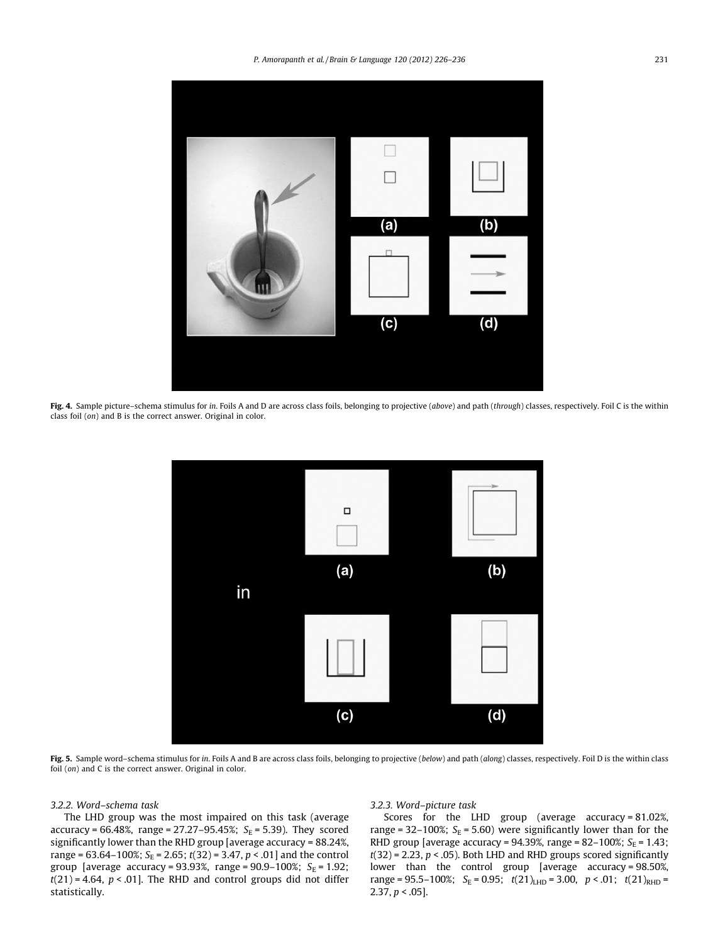<span id="page-5-0"></span>

Fig. 4. Sample picture–schema stimulus for in. Foils A and D are across class foils, belonging to projective (above) and path (through) classes, respectively. Foil C is the within class foil (on) and B is the correct answer. Original in color.



Fig. 5. Sample word-schema stimulus for in. Foils A and B are across class foils, belonging to projective (below) and path (along) classes, respectively. Foil D is the within class foil (on) and C is the correct answer. Original in color.

# 3.2.2. Word–schema task

The LHD group was the most impaired on this task (average accuracy = 66.48%, range = 27.27-95.45%;  $S_E$  = 5.39). They scored significantly lower than the RHD group [average accuracy = 88.24%, range = 63.64–100%;  $S_E$  = 2.65;  $t(32)$  = 3.47,  $p < .01$ ] and the control group [average accuracy = 93.93%, range = 90.9-100%;  $S_E = 1.92$ ;  $t(21) = 4.64$ ,  $p < .01$ ]. The RHD and control groups did not differ statistically.

## 3.2.3. Word–picture task

Scores for the LHD group (average accuracy = 81.02%, range =  $32-100\%$ ; S<sub>E</sub> = 5.60) were significantly lower than for the RHD group [average accuracy = 94.39%, range = 82-100%;  $S_E$  = 1.43;  $t(32)$  = 2.23,  $p < .05$ ). Both LHD and RHD groups scored significantly lower than the control group [average accuracy = 98.50%, range = 95.5–100%;  $S_E = 0.95$ ;  $t(21)_{LHD} = 3.00$ ,  $p < .01$ ;  $t(21)_{RHD} =$  $2.37, p < .05$ ].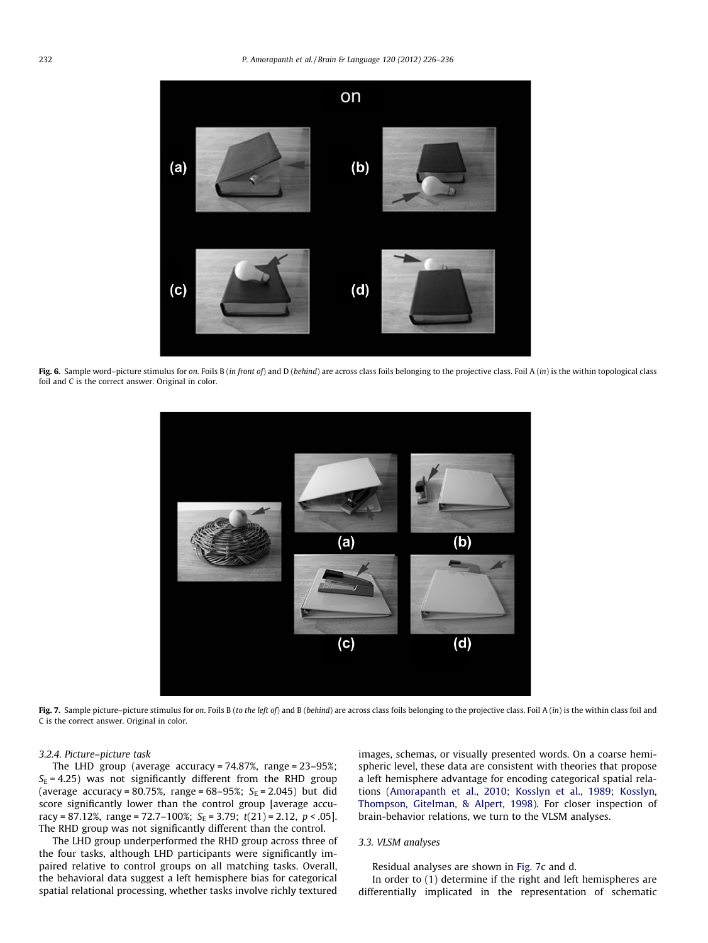<span id="page-6-0"></span>

Fig. 6. Sample word–picture stimulus for on. Foils B (in front of) and D (behind) are across class foils belonging to the projective class. Foil A (in) is the within topological class foil and C is the correct answer. Original in color.



Fig. 7. Sample picture–picture stimulus for on. Foils B (to the left of) and B (behind) are across class foils belonging to the projective class. Foil A (in) is the within class foil and C is the correct answer. Original in color.

# 3.2.4. Picture–picture task

The LHD group (average accuracy = 74.87%, range = 23–95%;  $S_E = 4.25$ ) was not significantly different from the RHD group (average accuracy = 80.75%, range = 68–95%;  $S_E$  = 2.045) but did score significantly lower than the control group [average accuracy = 87.12%, range = 72.7–100%;  $S_E$  = 3.79;  $t(21)$  = 2.12,  $p < .05$ ]. The RHD group was not significantly different than the control.

The LHD group underperformed the RHD group across three of the four tasks, although LHD participants were significantly impaired relative to control groups on all matching tasks. Overall, the behavioral data suggest a left hemisphere bias for categorical spatial relational processing, whether tasks involve richly textured images, schemas, or visually presented words. On a coarse hemispheric level, these data are consistent with theories that propose a left hemisphere advantage for encoding categorical spatial relations [\(Amorapanth et al., 2010; Kosslyn et al., 1989; Kosslyn,](#page-10-0) [Thompson, Gitelman, & Alpert, 1998](#page-10-0)). For closer inspection of brain-behavior relations, we turn to the VLSM analyses.

# 3.3. VLSM analyses

Residual analyses are shown in Fig. 7c and d.

In order to (1) determine if the right and left hemispheres are differentially implicated in the representation of schematic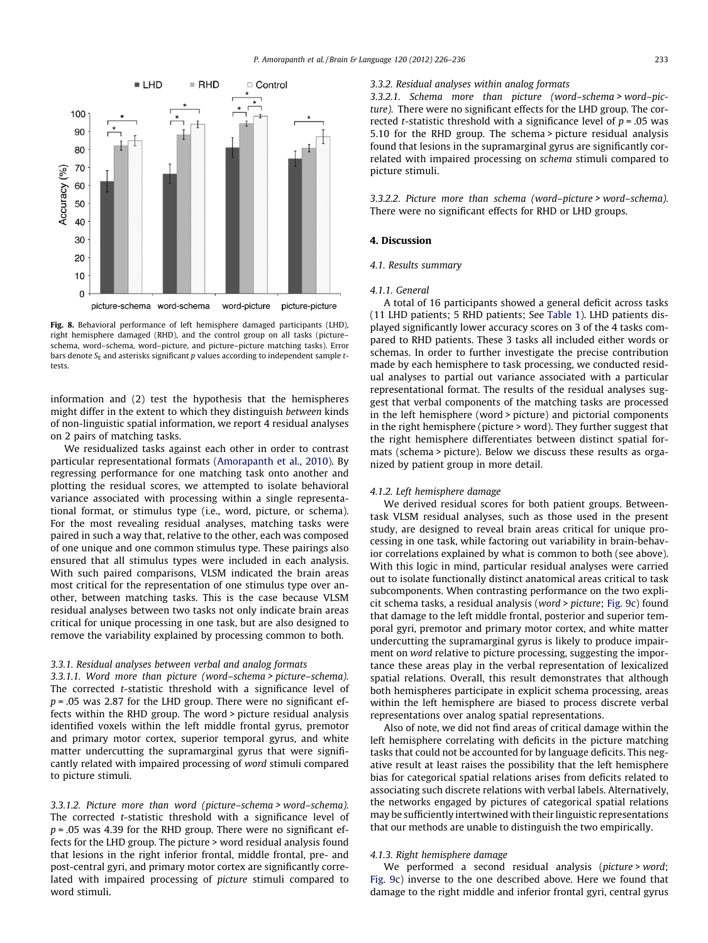<span id="page-7-0"></span>

Fig. 8. Behavioral performance of left hemisphere damaged participants (LHD), right hemisphere damaged (RHD), and the control group on all tasks (picture– schema, word–schema, word–picture, and picture–picture matching tasks). Error bars denote  $S_E$  and asterisks significant p values according to independent sample ttests.

information and (2) test the hypothesis that the hemispheres might differ in the extent to which they distinguish between kinds of non-linguistic spatial information, we report 4 residual analyses on 2 pairs of matching tasks.

We residualized tasks against each other in order to contrast particular representational formats ([Amorapanth et al., 2010](#page-10-0)). By regressing performance for one matching task onto another and plotting the residual scores, we attempted to isolate behavioral variance associated with processing within a single representational format, or stimulus type (i.e., word, picture, or schema). For the most revealing residual analyses, matching tasks were paired in such a way that, relative to the other, each was composed of one unique and one common stimulus type. These pairings also ensured that all stimulus types were included in each analysis. With such paired comparisons, VLSM indicated the brain areas most critical for the representation of one stimulus type over another, between matching tasks. This is the case because VLSM residual analyses between two tasks not only indicate brain areas critical for unique processing in one task, but are also designed to remove the variability explained by processing common to both.

#### 3.3.1. Residual analyses between verbal and analog formats

3.3.1.1. Word more than picture (word–schema > picture–schema). The corrected t-statistic threshold with a significance level of  $p = 0.05$  was 2.87 for the LHD group. There were no significant effects within the RHD group. The word > picture residual analysis identified voxels within the left middle frontal gyrus, premotor and primary motor cortex, superior temporal gyrus, and white matter undercutting the supramarginal gyrus that were significantly related with impaired processing of word stimuli compared to picture stimuli.

3.3.1.2. Picture more than word (picture–schema > word–schema). The corrected t-statistic threshold with a significance level of  $p = 0.05$  was 4.39 for the RHD group. There were no significant effects for the LHD group. The picture > word residual analysis found that lesions in the right inferior frontal, middle frontal, pre- and post-central gyri, and primary motor cortex are significantly correlated with impaired processing of picture stimuli compared to word stimuli.

#### 3.3.2. Residual analyses within analog formats

3.3.2.1. Schema more than picture (word–schema > word–picture). There were no significant effects for the LHD group. The corrected *t*-statistic threshold with a significance level of  $p = .05$  was 5.10 for the RHD group. The schema > picture residual analysis found that lesions in the supramarginal gyrus are significantly correlated with impaired processing on schema stimuli compared to picture stimuli.

3.3.2.2. Picture more than schema (word–picture > word–schema). There were no significant effects for RHD or LHD groups.

# 4. Discussion

## 4.1. Results summary

#### 4.1.1. General

A total of 16 participants showed a general deficit across tasks (11 LHD patients; 5 RHD patients; See [Table 1\)](#page-3-0). LHD patients displayed significantly lower accuracy scores on 3 of the 4 tasks compared to RHD patients. These 3 tasks all included either words or schemas. In order to further investigate the precise contribution made by each hemisphere to task processing, we conducted residual analyses to partial out variance associated with a particular representational format. The results of the residual analyses suggest that verbal components of the matching tasks are processed in the left hemisphere (word > picture) and pictorial components in the right hemisphere (picture > word). They further suggest that the right hemisphere differentiates between distinct spatial formats (schema > picture). Below we discuss these results as organized by patient group in more detail.

#### 4.1.2. Left hemisphere damage

We derived residual scores for both patient groups. Betweentask VLSM residual analyses, such as those used in the present study, are designed to reveal brain areas critical for unique processing in one task, while factoring out variability in brain-behavior correlations explained by what is common to both (see above). With this logic in mind, particular residual analyses were carried out to isolate functionally distinct anatomical areas critical to task subcomponents. When contrasting performance on the two explicit schema tasks, a residual analysis (word > picture; [Fig. 9](#page-8-0)c) found that damage to the left middle frontal, posterior and superior temporal gyri, premotor and primary motor cortex, and white matter undercutting the supramarginal gyrus is likely to produce impairment on word relative to picture processing, suggesting the importance these areas play in the verbal representation of lexicalized spatial relations. Overall, this result demonstrates that although both hemispheres participate in explicit schema processing, areas within the left hemisphere are biased to process discrete verbal representations over analog spatial representations.

Also of note, we did not find areas of critical damage within the left hemisphere correlating with deficits in the picture matching tasks that could not be accounted for by language deficits. This negative result at least raises the possibility that the left hemisphere bias for categorical spatial relations arises from deficits related to associating such discrete relations with verbal labels. Alternatively, the networks engaged by pictures of categorical spatial relations may be sufficiently intertwined with their linguistic representations that our methods are unable to distinguish the two empirically.

## 4.1.3. Right hemisphere damage

We performed a second residual analysis (picture > word; [Fig. 9c](#page-8-0)) inverse to the one described above. Here we found that damage to the right middle and inferior frontal gyri, central gyrus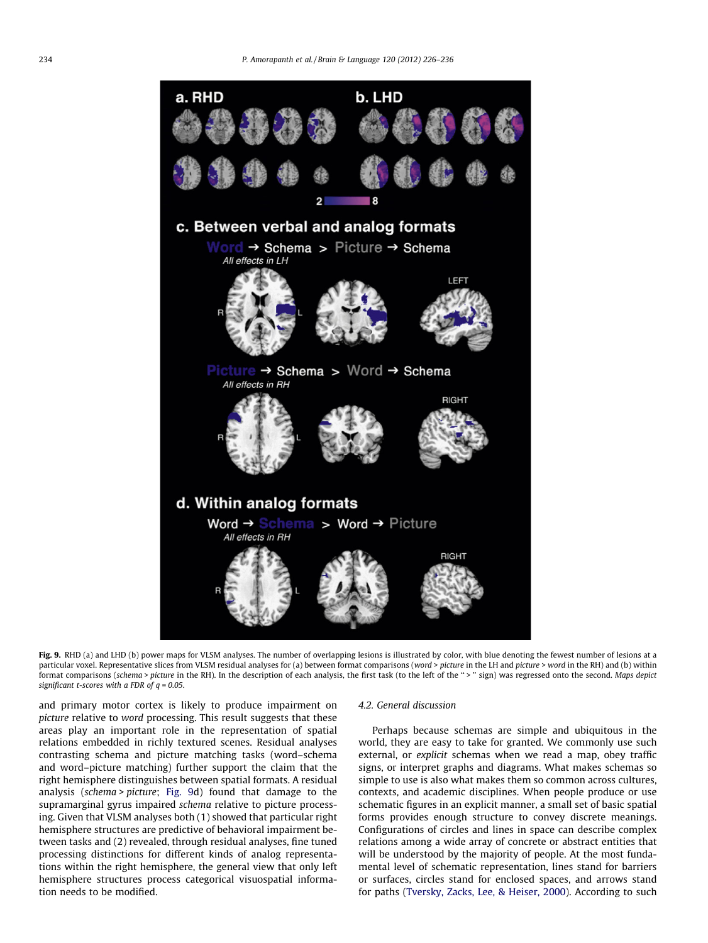<span id="page-8-0"></span>

Fig. 9. RHD (a) and LHD (b) power maps for VLSM analyses. The number of overlapping lesions is illustrated by color, with blue denoting the fewest number of lesions at a particular voxel. Representative slices from VLSM residual analyses for (a) between format comparisons (word > picture in the LH and picture > word in the RH) and (b) within format comparisons (schema > picture in the RH). In the description of each analysis, the first task (to the left of the " > " sign) was regressed onto the second. Maps depict significant t-scores with a FDR of  $q = 0.05$ .

and primary motor cortex is likely to produce impairment on picture relative to word processing. This result suggests that these areas play an important role in the representation of spatial relations embedded in richly textured scenes. Residual analyses contrasting schema and picture matching tasks (word–schema and word–picture matching) further support the claim that the right hemisphere distinguishes between spatial formats. A residual analysis (schema > picture; Fig. 9d) found that damage to the supramarginal gyrus impaired schema relative to picture processing. Given that VLSM analyses both (1) showed that particular right hemisphere structures are predictive of behavioral impairment between tasks and (2) revealed, through residual analyses, fine tuned processing distinctions for different kinds of analog representations within the right hemisphere, the general view that only left hemisphere structures process categorical visuospatial information needs to be modified.

# 4.2. General discussion

Perhaps because schemas are simple and ubiquitous in the world, they are easy to take for granted. We commonly use such external, or explicit schemas when we read a map, obey traffic signs, or interpret graphs and diagrams. What makes schemas so simple to use is also what makes them so common across cultures, contexts, and academic disciplines. When people produce or use schematic figures in an explicit manner, a small set of basic spatial forms provides enough structure to convey discrete meanings. Configurations of circles and lines in space can describe complex relations among a wide array of concrete or abstract entities that will be understood by the majority of people. At the most fundamental level of schematic representation, lines stand for barriers or surfaces, circles stand for enclosed spaces, and arrows stand for paths [\(Tversky, Zacks, Lee, & Heiser, 2000\)](#page-10-0). According to such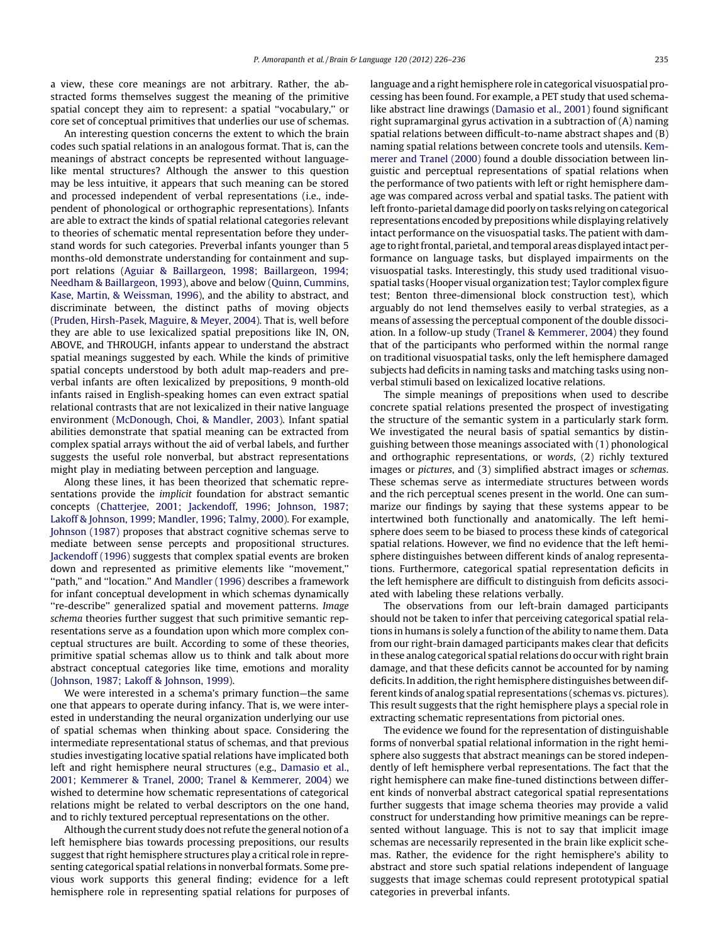a view, these core meanings are not arbitrary. Rather, the abstracted forms themselves suggest the meaning of the primitive spatial concept they aim to represent: a spatial ''vocabulary,'' or core set of conceptual primitives that underlies our use of schemas.

An interesting question concerns the extent to which the brain codes such spatial relations in an analogous format. That is, can the meanings of abstract concepts be represented without languagelike mental structures? Although the answer to this question may be less intuitive, it appears that such meaning can be stored and processed independent of verbal representations (i.e., independent of phonological or orthographic representations). Infants are able to extract the kinds of spatial relational categories relevant to theories of schematic mental representation before they understand words for such categories. Preverbal infants younger than 5 months-old demonstrate understanding for containment and support relations ([Aguiar & Baillargeon, 1998; Baillargeon, 1994;](#page-10-0) [Needham & Baillargeon, 1993\)](#page-10-0), above and below ([Quinn, Cummins,](#page-10-0) [Kase, Martin, & Weissman, 1996](#page-10-0)), and the ability to abstract, and discriminate between, the distinct paths of moving objects ([Pruden, Hirsh-Pasek, Maguire, & Meyer, 2004](#page-10-0)). That is, well before they are able to use lexicalized spatial prepositions like IN, ON, ABOVE, and THROUGH, infants appear to understand the abstract spatial meanings suggested by each. While the kinds of primitive spatial concepts understood by both adult map-readers and preverbal infants are often lexicalized by prepositions, 9 month-old infants raised in English-speaking homes can even extract spatial relational contrasts that are not lexicalized in their native language environment ([McDonough, Choi, & Mandler, 2003\)](#page-10-0). Infant spatial abilities demonstrate that spatial meaning can be extracted from complex spatial arrays without the aid of verbal labels, and further suggests the useful role nonverbal, but abstract representations might play in mediating between perception and language.

Along these lines, it has been theorized that schematic representations provide the implicit foundation for abstract semantic concepts ([Chatterjee, 2001; Jackendoff, 1996; Johnson, 1987;](#page-10-0) [Lakoff & Johnson, 1999; Mandler, 1996; Talmy, 2000\)](#page-10-0). For example, [Johnson \(1987\)](#page-10-0) proposes that abstract cognitive schemas serve to mediate between sense percepts and propositional structures. [Jackendoff \(1996\)](#page-10-0) suggests that complex spatial events are broken down and represented as primitive elements like ''movement,'' ''path,'' and ''location.'' And [Mandler \(1996\)](#page-10-0) describes a framework for infant conceptual development in which schemas dynamically ''re-describe'' generalized spatial and movement patterns. Image schema theories further suggest that such primitive semantic representations serve as a foundation upon which more complex conceptual structures are built. According to some of these theories, primitive spatial schemas allow us to think and talk about more abstract conceptual categories like time, emotions and morality ([Johnson, 1987; Lakoff & Johnson, 1999\)](#page-10-0).

We were interested in a schema's primary function—the same one that appears to operate during infancy. That is, we were interested in understanding the neural organization underlying our use of spatial schemas when thinking about space. Considering the intermediate representational status of schemas, and that previous studies investigating locative spatial relations have implicated both left and right hemisphere neural structures (e.g., [Damasio et al.,](#page-10-0) [2001; Kemmerer & Tranel, 2000; Tranel & Kemmerer, 2004\)](#page-10-0) we wished to determine how schematic representations of categorical relations might be related to verbal descriptors on the one hand, and to richly textured perceptual representations on the other.

Although the current study does not refute the general notion of a left hemisphere bias towards processing prepositions, our results suggest that right hemisphere structures play a critical role in representing categorical spatial relations in nonverbal formats. Some previous work supports this general finding; evidence for a left hemisphere role in representing spatial relations for purposes of language and a right hemisphere role in categorical visuospatial processing has been found. For example, a PET study that used schemalike abstract line drawings [\(Damasio et al., 2001\)](#page-10-0) found significant right supramarginal gyrus activation in a subtraction of (A) naming spatial relations between difficult-to-name abstract shapes and (B) naming spatial relations between concrete tools and utensils. [Kem](#page-10-0)[merer and Tranel \(2000\)](#page-10-0) found a double dissociation between linguistic and perceptual representations of spatial relations when the performance of two patients with left or right hemisphere damage was compared across verbal and spatial tasks. The patient with left fronto-parietal damage did poorly on tasks relying on categorical representations encoded by prepositions while displaying relatively intact performance on the visuospatial tasks. The patient with damage to right frontal, parietal, and temporal areas displayed intact performance on language tasks, but displayed impairments on the visuospatial tasks. Interestingly, this study used traditional visuospatial tasks (Hooper visual organization test; Taylor complex figure test; Benton three-dimensional block construction test), which arguably do not lend themselves easily to verbal strategies, as a means of assessing the perceptual component of the double dissociation. In a follow-up study [\(Tranel & Kemmerer, 2004\)](#page-10-0) they found that of the participants who performed within the normal range on traditional visuospatial tasks, only the left hemisphere damaged subjects had deficits in naming tasks and matching tasks using nonverbal stimuli based on lexicalized locative relations.

The simple meanings of prepositions when used to describe concrete spatial relations presented the prospect of investigating the structure of the semantic system in a particularly stark form. We investigated the neural basis of spatial semantics by distinguishing between those meanings associated with (1) phonological and orthographic representations, or words, (2) richly textured images or pictures, and (3) simplified abstract images or schemas. These schemas serve as intermediate structures between words and the rich perceptual scenes present in the world. One can summarize our findings by saying that these systems appear to be intertwined both functionally and anatomically. The left hemisphere does seem to be biased to process these kinds of categorical spatial relations. However, we find no evidence that the left hemisphere distinguishes between different kinds of analog representations. Furthermore, categorical spatial representation deficits in the left hemisphere are difficult to distinguish from deficits associated with labeling these relations verbally.

The observations from our left-brain damaged participants should not be taken to infer that perceiving categorical spatial relations in humans is solely a function of the ability to name them. Data from our right-brain damaged participants makes clear that deficits in these analog categorical spatial relations do occur with right brain damage, and that these deficits cannot be accounted for by naming deficits. In addition, the right hemisphere distinguishes between different kinds of analog spatial representations (schemas vs. pictures). This result suggests that the right hemisphere plays a special role in extracting schematic representations from pictorial ones.

The evidence we found for the representation of distinguishable forms of nonverbal spatial relational information in the right hemisphere also suggests that abstract meanings can be stored independently of left hemisphere verbal representations. The fact that the right hemisphere can make fine-tuned distinctions between different kinds of nonverbal abstract categorical spatial representations further suggests that image schema theories may provide a valid construct for understanding how primitive meanings can be represented without language. This is not to say that implicit image schemas are necessarily represented in the brain like explicit schemas. Rather, the evidence for the right hemisphere's ability to abstract and store such spatial relations independent of language suggests that image schemas could represent prototypical spatial categories in preverbal infants.